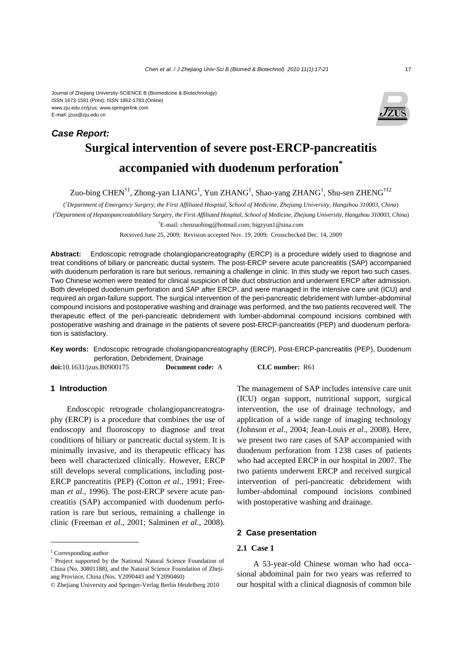#### Journal of Zhejiang University-SCIENCE B (Biomedicine & Biotechnology) ISSN 1673-1581 (Print); ISSN 1862-1783 (Online) www.zju.edu.cn/jzus; www.springerlink.com E-mail: jzus@zju.edu.cn



# **Surgical intervention of severe post-ERCP-pancreatitis accompanied with duodenum perforation\***

Zuo-bing CHEN<sup>†1</sup>, Zhong-yan LIANG<sup>1</sup>, Yun ZHANG<sup>1</sup>, Shao-yang ZHANG<sup>1</sup>, Shu-sen ZHENG<sup>†‡2</sup>

( *1 Department of Emergency Surgery, the First Affiliated Hospital, School of Medicine, Zhejiang University, Hangzhou 310003, China*) ( *2 Department of Hepatopancreatobiliary Surgery, the First Affiliated Hospital, School of Medicine, Zhejiang University, Hangzhou 310003, China*)

† E-mail: chenzuobing@hotmail.com; bigzyun1@sina.com

Received June 25, 2009; Revision accepted Nov. 19, 2009; Crosschecked Dec. 14, 2009

**Abstract:** Endoscopic retrograde cholangiopancreatography (ERCP) is a procedure widely used to diagnose and treat conditions of biliary or pancreatic ductal system. The post-ERCP severe acute pancreatitis (SAP) accompanied with duodenum perforation is rare but serious, remaining a challenge in clinic. In this study we report two such cases. Two Chinese women were treated for clinical suspicion of bile duct obstruction and underwent ERCP after admission. Both developed duodenum perforation and SAP after ERCP, and were managed in the intensive care unit (ICU) and required an organ-failure support. The surgical intervention of the peri-pancreatic debridement with lumber-abdominal compound incisions and postoperative washing and drainage was performed, and the two patients recovered well. The therapeutic effect of the peri-pancreatic debridement with lumber-abdominal compound incisions combined with postoperative washing and drainage in the patients of severe post-ERCP-pancreatitis (PEP) and duodenum perforation is satisfactory.

**Key words:** Endoscopic retrograde cholangiopancreatography (ERCP), Post-ERCP-pancreatitis (PEP), Duodenum perforation, Debridement, Drainage

**doi:**10.1631/jzus.B0900175 **Document code:** A **CLC number:** R61

# **1 Introduction**

*Case Report:*

Endoscopic retrograde cholangiopancreatography (ERCP) is a procedure that combines the use of endoscopy and fluoroscopy to diagnose and treat conditions of biliary or pancreatic ductal system. It is minimally invasive, and its therapeutic efficacy has been well characterized clinically. However, ERCP still develops several complications, including post-ERCP pancreatitis (PEP) (Cotton *et al*., 1991; Freeman *et al*., 1996). The post-ERCP severe acute pancreatitis (SAP) accompanied with duodenum perforation is rare but serious, remaining a challenge in clinic (Freeman *et al*., 2001; Salminen *et al*., 2008). The management of SAP includes intensive care unit (ICU) organ support, nutritional support, surgical intervention, the use of drainage technology, and application of a wide range of imaging technology (Johnson *et al*., 2004; Jean-Louis *et al*., 2008). Here, we present two rare cases of SAP accompanied with duodenum perforation from 1238 cases of patients who had accepted ERCP in our hospital in 2007. The two patients underwent ERCP and received surgical intervention of peri-pancreatic debridement with lumber-abdominal compound incisions combined with postoperative washing and drainage.

### **2 Case presentation**

# **2.1 Case 1**

A 53-year-old Chinese woman who had occasional abdominal pain for two years was referred to our hospital with a clinical diagnosis of common bile

<sup>‡</sup> Corresponding author

<sup>\*</sup> Project supported by the National Natural Science Foundation of China (No. 30801188), and the Natural Science Foundation of Zhejiang Province, China (Nos. Y2090443 and Y2090460)

<sup>©</sup> Zhejiang University and Springer-Verlag Berlin Heidelberg 2010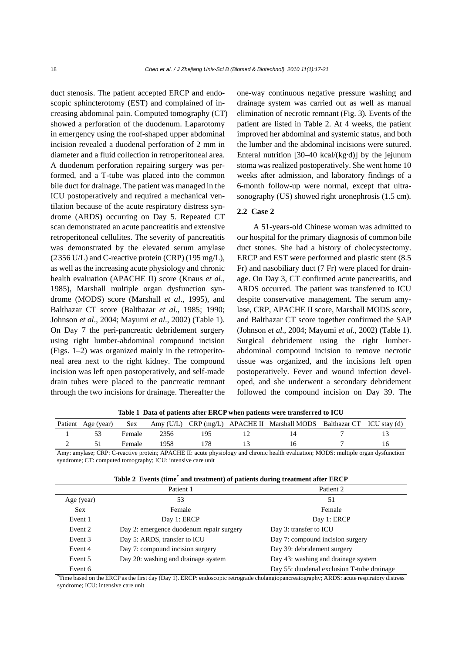duct stenosis. The patient accepted ERCP and endoscopic sphincterotomy (EST) and complained of increasing abdominal pain. Computed tomography (CT) showed a perforation of the duodenum. Laparotomy in emergency using the roof-shaped upper abdominal incision revealed a duodenal perforation of 2 mm in diameter and a fluid collection in retroperitoneal area. A duodenum perforation repairing surgery was performed, and a T-tube was placed into the common bile duct for drainage. The patient was managed in the ICU postoperatively and required a mechanical ventilation because of the acute respiratory distress syndrome (ARDS) occurring on Day 5. Repeated CT scan demonstrated an acute pancreatitis and extensive retroperitoneal cellulites. The severity of pancreatitis was demonstrated by the elevated serum amylase (2356 U/L) and C-reactive protein (CRP) (195 mg/L), as well as the increasing acute physiology and chronic health evaluation (APACHE II) score (Knaus *et al*., 1985), Marshall multiple organ dysfunction syndrome (MODS) score (Marshall *et al*., 1995), and Balthazar CT score (Balthazar *et al*., 1985; 1990; Johnson *et al*., 2004; Mayumi *et al*., 2002) (Table 1). On Day 7 the peri-pancreatic debridement surgery using right lumber-abdominal compound incision (Figs. 1–2) was organized mainly in the retroperitoneal area next to the right kidney. The compound incision was left open postoperatively, and self-made drain tubes were placed to the pancreatic remnant through the two incisions for drainage. Thereafter the

one-way continuous negative pressure washing and drainage system was carried out as well as manual elimination of necrotic remnant (Fig. 3). Events of the patient are listed in Table 2. At 4 weeks, the patient improved her abdominal and systemic status, and both the lumber and the abdominal incisions were sutured. Enteral nutrition [30–40 kcal/(kg·d)] by the jejunum stoma was realized postoperatively. She went home 10 weeks after admission, and laboratory findings of a 6-month follow-up were normal, except that ultrasonography (US) showed right uronephrosis (1.5 cm).

# **2.2 Case 2**

A 51-years-old Chinese woman was admitted to our hospital for the primary diagnosis of common bile duct stones. She had a history of cholecystectomy. ERCP and EST were performed and plastic stent (8.5 Fr) and nasobiliary duct (7 Fr) were placed for drainage. On Day 3, CT confirmed acute pancreatitis, and ARDS occurred. The patient was transferred to ICU despite conservative management. The serum amylase, CRP, APACHE II score, Marshall MODS score, and Balthazar CT score together confirmed the SAP (Johnson *et al*., 2004; Mayumi *et al*., 2002) (Table 1). Surgical debridement using the right lumberabdominal compound incision to remove necrotic tissue was organized, and the incisions left open postoperatively. Fever and wound infection developed, and she underwent a secondary debridement followed the compound incision on Day 39. The

**Table 1 Data of patients after ERCP when patients were transferred to ICU**

|  |        |      |     | Patient Age (year) Sex Amy (U/L) CRP (mg/L) APACHE II Marshall MODS Balthazar CT ICU stay (d) |  |
|--|--------|------|-----|-----------------------------------------------------------------------------------------------|--|
|  | Female | 2356 | 195 |                                                                                               |  |
|  | Female | 1958 |     |                                                                                               |  |

Amy: amylase; CRP: C-reactive protein; APACHE II: acute physiology and chronic health evaluation; MODS: multiple organ dysfunction syndrome; CT: computed tomography; ICU: intensive care unit

|                                                                                                                                         | Patient 1                                | Patient 2                                  |  |  |  |
|-----------------------------------------------------------------------------------------------------------------------------------------|------------------------------------------|--------------------------------------------|--|--|--|
| Age (year)                                                                                                                              | 53                                       | 51                                         |  |  |  |
| <b>Sex</b>                                                                                                                              | Female                                   | Female                                     |  |  |  |
| Event 1                                                                                                                                 | Day 1: ERCP                              | Day 1: ERCP                                |  |  |  |
| Event 2                                                                                                                                 | Day 2: emergence duodenum repair surgery | Day 3: transfer to ICU                     |  |  |  |
| Event 3                                                                                                                                 | Day 5: ARDS, transfer to ICU             | Day 7: compound incision surgery           |  |  |  |
| Event 4                                                                                                                                 | Day 7: compound incision surgery         | Day 39: debridement surgery                |  |  |  |
| Event 5                                                                                                                                 | Day 20: washing and drainage system      | Day 43: washing and drainage system        |  |  |  |
| Event 6                                                                                                                                 |                                          | Day 55: duodenal exclusion T-tube drainage |  |  |  |
| Time based on the ERCP as the first day (Day 1). ERCP: endoscopic retrograde cholangiopancreatography; ARDS: acute respiratory distress |                                          |                                            |  |  |  |

**Table 2 Events (time\* and treatment) of patients during treatment after ERCP**

syndrome; ICU: intensive care unit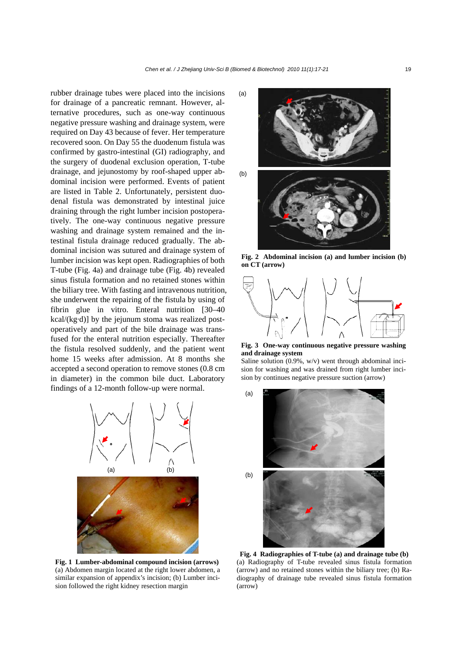(a)

rubber drainage tubes were placed into the incisions for drainage of a pancreatic remnant. However, alternative procedures, such as one-way continuous negative pressure washing and drainage system, were required on Day 43 because of fever. Her temperature recovered soon. On Day 55 the duodenum fistula was confirmed by gastro-intestinal (GI) radiography, and the surgery of duodenal exclusion operation, T-tube drainage, and jejunostomy by roof-shaped upper abdominal incision were performed. Events of patient are listed in Table 2. Unfortunately, persistent duodenal fistula was demonstrated by intestinal juice draining through the right lumber incision postoperatively. The one-way continuous negative pressure washing and drainage system remained and the intestinal fistula drainage reduced gradually. The abdominal incision was sutured and drainage system of lumber incision was kept open. Radiographies of both T-tube (Fig. 4a) and drainage tube (Fig. 4b) revealed sinus fistula formation and no retained stones within the biliary tree. With fasting and intravenous nutrition, she underwent the repairing of the fistula by using of fibrin glue in vitro. Enteral nutrition [30–40 kcal/(kg·d)] by the jejunum stoma was realized postoperatively and part of the bile drainage was transfused for the enteral nutrition especially. Thereafter the fistula resolved suddenly, and the patient went home 15 weeks after admission. At 8 months she accepted a second operation to remove stones (0.8 cm in diameter) in the common bile duct. Laboratory findings of a 12-month follow-up were normal.



**Fig. 1 Lumber-abdominal compound incision (arrows)** (a) Abdomen margin located at the right lower abdomen, a similar expansion of appendix's incision; (b) Lumber incision followed the right kidney resection margin

(b)



**Fig. 2 Abdominal incision (a) and lumber incision (b) on CT (arrow)**



**Fig. 3 One-way continuous negative pressure washing and drainage system**

Saline solution (0.9%, w/v) went through abdominal incision for washing and was drained from right lumber incision by continues negative pressure suction (arrow)



**Fig. 4 Radiographies of T-tube (a) and drainage tube (b)** (a) Radiography of T-tube revealed sinus fistula formation (arrow) and no retained stones within the biliary tree; (b) Radiography of drainage tube revealed sinus fistula formation (arrow)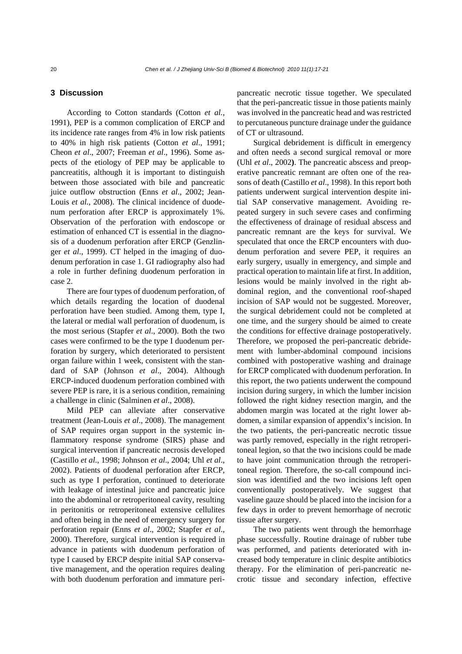# **3 Discussion**

According to Cotton standards (Cotton *et al.*, 1991), PEP is a common complication of ERCP and its incidence rate ranges from 4% in low risk patients to 40% in high risk patients (Cotton *et al*., 1991; Cheon *et al*., 2007; Freeman *et al*., 1996). Some aspects of the etiology of PEP may be applicable to pancreatitis, although it is important to distinguish between those associated with bile and pancreatic juice outflow obstruction (Enns *et al*., 2002; Jean-Louis *et al.*, 2008). The clinical incidence of duodenum perforation after ERCP is approximately 1%. Observation of the perforation with endoscope or estimation of enhanced CT is essential in the diagnosis of a duodenum perforation after ERCP (Genzlinger *et al*., 1999). CT helped in the imaging of duodenum perforation in case 1. GI radiography also had a role in further defining duodenum perforation in case 2.

There are four types of duodenum perforation, of which details regarding the location of duodenal perforation have been studied. Among them, type I, the lateral or medial wall perforation of duodenum, is the most serious (Stapfer *et al*., 2000). Both the two cases were confirmed to be the type I duodenum perforation by surgery, which deteriorated to persistent organ failure within 1 week, consistent with the standard of SAP (Johnson *et al*., 2004). Although ERCP-induced duodenum perforation combined with severe PEP is rare, it is a serious condition, remaining a challenge in clinic (Salminen *et al*., 2008).

Mild PEP can alleviate after conservative treatment (Jean-Louis *et al*., 2008). The management of SAP requires organ support in the systemic inflammatory response syndrome (SIRS) phase and surgical intervention if pancreatic necrosis developed (Castillo *et al*., 1998; Johnson *et al*., 2004; Uhl *et al*., 2002). Patients of duodenal perforation after ERCP, such as type I perforation, continued to deteriorate with leakage of intestinal juice and pancreatic juice into the abdominal or retroperitoneal cavity, resulting in peritonitis or retroperitoneal extensive cellulites and often being in the need of emergency surgery for perforation repair (Enns *et al*., 2002; Stapfer *et al*., 2000). Therefore, surgical intervention is required in advance in patients with duodenum perforation of type I caused by ERCP despite initial SAP conservative management, and the operation requires dealing with both duodenum perforation and immature peripancreatic necrotic tissue together. We speculated that the peri-pancreatic tissue in those patients mainly was involved in the pancreatic head and was restricted to percutaneous puncture drainage under the guidance of CT or ultrasound.

Surgical debridement is difficult in emergency and often needs a second surgical removal or more (Uhl *et al*., 2002**)**. The pancreatic abscess and preoperative pancreatic remnant are often one of the reasons of death (Castillo *et al*., 1998). In this report both patients underwent surgical intervention despite initial SAP conservative management. Avoiding repeated surgery in such severe cases and confirming the effectiveness of drainage of residual abscess and pancreatic remnant are the keys for survival. We speculated that once the ERCP encounters with duodenum perforation and severe PEP, it requires an early surgery, usually in emergency, and simple and practical operation to maintain life at first. In addition, lesions would be mainly involved in the right abdominal region, and the conventional roof-shaped incision of SAP would not be suggested. Moreover, the surgical debridement could not be completed at one time, and the surgery should be aimed to create the conditions for effective drainage postoperatively. Therefore, we proposed the peri-pancreatic debridement with lumber-abdominal compound incisions combined with postoperative washing and drainage for ERCP complicated with duodenum perforation. In this report, the two patients underwent the compound incision during surgery, in which the lumber incision followed the right kidney resection margin, and the abdomen margin was located at the right lower abdomen, a similar expansion of appendix's incision. In the two patients, the peri-pancreatic necrotic tissue was partly removed, especially in the right retroperitoneal legion, so that the two incisions could be made to have joint communication through the retroperitoneal region. Therefore, the so-call compound incision was identified and the two incisions left open conventionally postoperatively. We suggest that vaseline gauze should be placed into the incision for a few days in order to prevent hemorrhage of necrotic tissue after surgery.

The two patients went through the hemorrhage phase successfully. Routine drainage of rubber tube was performed, and patients deteriorated with increased body temperature in clinic despite antibiotics therapy. For the elimination of peri-pancreatic necrotic tissue and secondary infection, effective